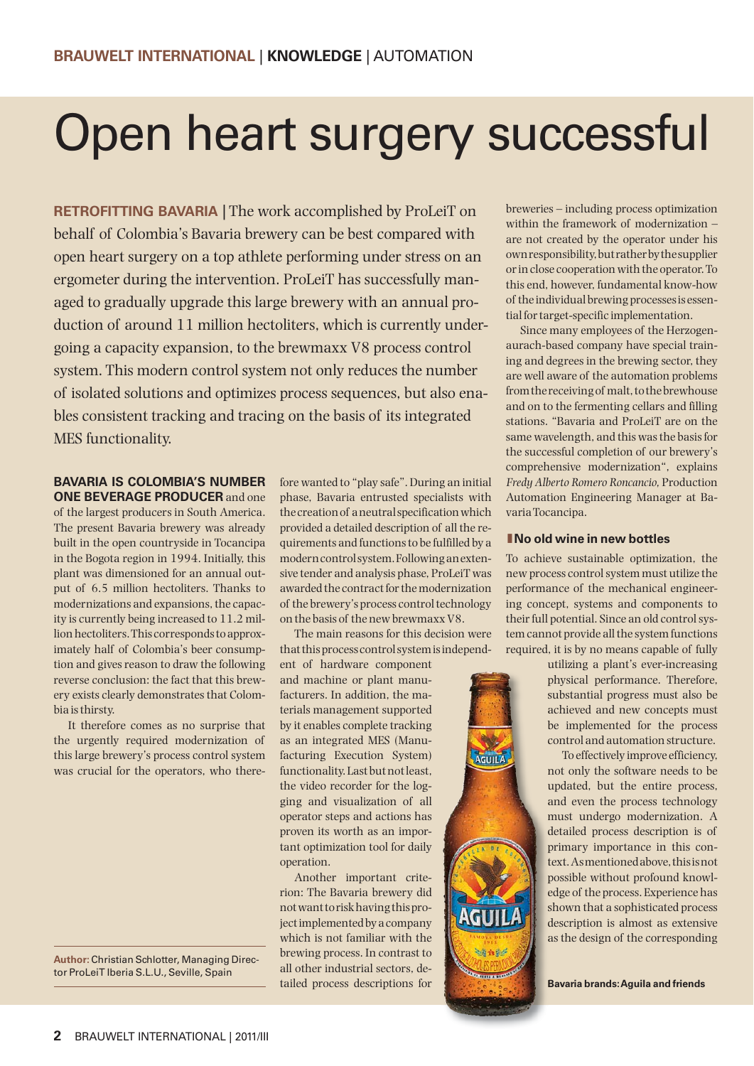# Open heart surgery successful

**RETROFITTING BAVARIA** | The work accomplished by ProLeiT on behalf of Colombia's Bavaria brewery can be best compared with open heart surgery on a top athlete performing under stress on an ergometer during the intervention. ProLeiT has successfully managed to gradually upgrade this large brewery with an annual production of around 11 million hectoliters, which is currently undergoing a capacity expansion, to the brewmaxx V8 process control system. This modern control system not only reduces the number of isolated solutions and optimizes process sequences, but also enables consistent tracking and tracing on the basis of its integrated MES functionality.

## **BAVARIA IS COLOMBIA'S NUMBER**

**ONE BEVERAGE PRODUCER** and one of the largest producers in South America. The present Bavaria brewery was already built in the open countryside in Tocancipa in the Bogota region in 1994. Initially, this plant was dimensioned for an annual output of 6.5 million hectoliters. Thanks to modernizations and expansions, the capacity is currently being increased to 11.2 million hectoliters. This corresponds to approximately half of Colombia's beer consumption and gives reason to draw the following reverse conclusion: the fact that this brewery exists clearly demonstrates that Colombia is thirsty.

It therefore comes as no surprise that the urgently required modernization of this large brewery's process control system was crucial for the operators, who there-

**Author:** Christian Schlotter, Managing Director ProLeiT Iberia S.L.U., Seville, Spain

fore wanted to "play safe". During an initial phase, Bavaria entrusted specialists with the creation of a neutral specification which provided a detailed description of all the requirements and functions to be fulfilled by a modern control system. Following an extensive tender and analysis phase, ProLeiT was awarded the contract for the modernization of the brewery's process control technology on the basis of the new brewmaxx V8.

The main reasons for this decision were that this process control system is independ-

**AGUILA** 

AGUILA

ent of hardware component and machine or plant manufacturers. In addition, the materials management supported by it enables complete tracking as an integrated MES (Manufacturing Execution System) functionality. Last but not least, the video recorder for the logging and visualization of all operator steps and actions has proven its worth as an important optimization tool for daily operation.

Another important criterion: The Bavaria brewery did not want to risk having this project implemented by a company which is not familiar with the brewing process. In contrast to all other industrial sectors, detailed process descriptions for breweries – including process optimization within the framework of modernization – are not created by the operator under his own responsibility, but rather by the supplier or in close cooperation with the operator. To this end, however, fundamental know-how of the individual brewing processes is essential for target-specific implementation.

Since many employees of the Herzogenaurach-based company have special training and degrees in the brewing sector, they are well aware of the automation problems from the receiving of malt, to the brewhouse and on to the fermenting cellars and filling stations. "Bavaria and ProLeiT are on the same wavelength, and this was the basis for the successful completion of our brewery's comprehensive modernization", explains *Fredy Alberto Romero Roncancio,* Production Automation Engineering Manager at Bavaria Tocancipa.

#### **lNo old wine in new bottles**

To achieve sustainable optimization, the new process control system must utilize the performance of the mechanical engineering concept, systems and components to their full potential. Since an old control system cannot provide all the system functions required, it is by no means capable of fully

utilizing a plant's ever-increasing physical performance. Therefore, p substantial progress must also be achieved and new concepts must a be implemented for the process b control and automation structure. c

To effectively improve efficiency, not only the software needs to be n updated, but the entire process, u and even the process technology a must undergo modernization. A m detailed process description is of d primary importance in this con-p text. As mentioned above, this is not possible without profound knowl-p edge of the process. Experience has e shown that a sophisticated process s description is almost as extensive d as the design of the corresponding a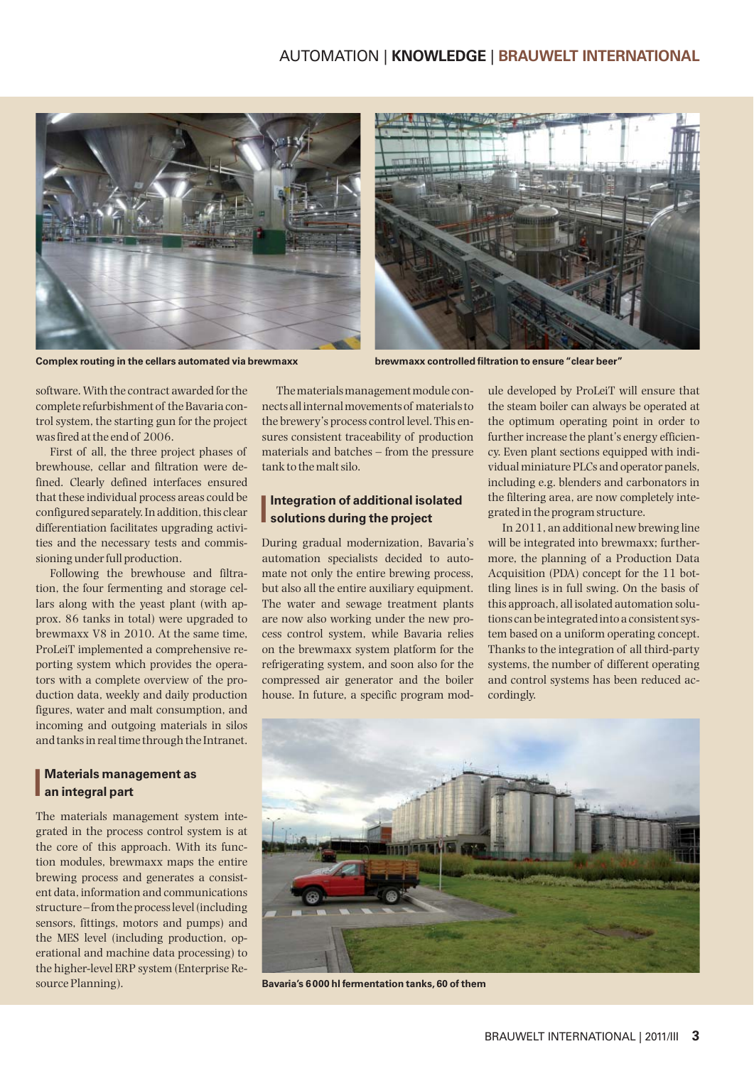## AUTOMATION | **KNOWLEDGE** | **BRAUWELT INTERNATIONAL**





Complex routing in the cellars automated via brewmaxx **brewmaxx controlled filtration to ensure "clear beer"** 

software. With the contract awarded for the complete refurbishment of the Bavaria control system, the starting gun for the project was fired at the end of 2006.

First of all, the three project phases of brewhouse, cellar and filtration were defined. Clearly defined interfaces ensured that these individual process areas could be configured separately. In addition, this clear differentiation facilitates upgrading activities and the necessary tests and commissioning under full production.

Following the brewhouse and filtration, the four fermenting and storage cellars along with the yeast plant (with approx. 86 tanks in total) were upgraded to brewmaxx V8 in 2010. At the same time, ProLeiT implemented a comprehensive reporting system which provides the operators with a complete overview of the production data, weekly and daily production figures, water and malt consumption, and incoming and outgoing materials in silos and tanks in real time through the Intranet.

# **Materials mana**<br>an integral part **Materials management as**

The materials management system integrated in the process control system is at the core of this approach. With its function modules, brewmaxx maps the entire brewing process and generates a consistent data, information and communications structure – from the process level (including sensors, fittings, motors and pumps) and the MES level (including production, operational and machine data processing) to the higher-level ERP system (Enterprise Resource Planning).

The materials management module connects all internal movements of materials to the brewery's process control level. This ensures consistent traceability of production materials and batches – from the pressure tank to the malt silo.

# **Integration of additional isolated<br>
solutions during the project solutions during the project**

During gradual modernization, Bavaria's automation specialists decided to automate not only the entire brewing process, but also all the entire auxiliary equipment. The water and sewage treatment plants are now also working under the new process control system, while Bavaria relies on the brewmaxx system platform for the refrigerating system, and soon also for the compressed air generator and the boiler house. In future, a specific program mod-

ule developed by ProLeiT will ensure that the steam boiler can always be operated at the optimum operating point in order to further increase the plant's energy efficiency. Even plant sections equipped with individual miniature PLCs and operator panels, including e.g. blenders and carbonators in the filtering area, are now completely integrated in the program structure.

In 2011, an additional new brewing line will be integrated into brewmaxx; furthermore, the planning of a Production Data Acquisition (PDA) concept for the 11 bottling lines is in full swing. On the basis of this approach, all isolated automation solutions can be integrated into a consistent system based on a uniform operating concept. Thanks to the integration of all third-party systems, the number of different operating and control systems has been reduced accordingly.



**Bavaria's 6 000 hl fermentation tanks, 60 of them**